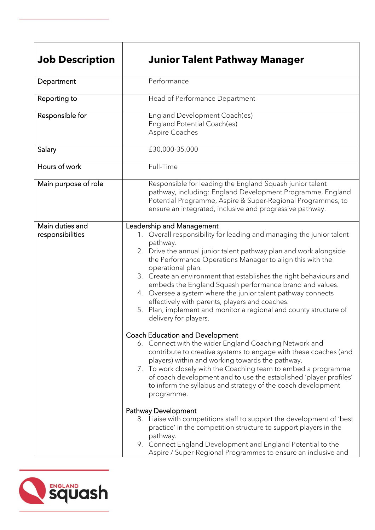| <b>Job Description</b>              | <b>Junior Talent Pathway Manager</b>                                                                                                                                                                                                                                                                                                                                                                                                                                                                                                                                                                                                                                                                                                                                                                                                                                                                                                                                                                                                                                                                                                                                                                                                                                                                                                                                                          |
|-------------------------------------|-----------------------------------------------------------------------------------------------------------------------------------------------------------------------------------------------------------------------------------------------------------------------------------------------------------------------------------------------------------------------------------------------------------------------------------------------------------------------------------------------------------------------------------------------------------------------------------------------------------------------------------------------------------------------------------------------------------------------------------------------------------------------------------------------------------------------------------------------------------------------------------------------------------------------------------------------------------------------------------------------------------------------------------------------------------------------------------------------------------------------------------------------------------------------------------------------------------------------------------------------------------------------------------------------------------------------------------------------------------------------------------------------|
| Department                          | Performance                                                                                                                                                                                                                                                                                                                                                                                                                                                                                                                                                                                                                                                                                                                                                                                                                                                                                                                                                                                                                                                                                                                                                                                                                                                                                                                                                                                   |
| Reporting to                        | Head of Performance Department                                                                                                                                                                                                                                                                                                                                                                                                                                                                                                                                                                                                                                                                                                                                                                                                                                                                                                                                                                                                                                                                                                                                                                                                                                                                                                                                                                |
| Responsible for                     | England Development Coach(es)<br>England Potential Coach(es)<br>Aspire Coaches                                                                                                                                                                                                                                                                                                                                                                                                                                                                                                                                                                                                                                                                                                                                                                                                                                                                                                                                                                                                                                                                                                                                                                                                                                                                                                                |
| Salary                              | £30,000-35,000                                                                                                                                                                                                                                                                                                                                                                                                                                                                                                                                                                                                                                                                                                                                                                                                                                                                                                                                                                                                                                                                                                                                                                                                                                                                                                                                                                                |
| Hours of work                       | Full-Time                                                                                                                                                                                                                                                                                                                                                                                                                                                                                                                                                                                                                                                                                                                                                                                                                                                                                                                                                                                                                                                                                                                                                                                                                                                                                                                                                                                     |
| Main purpose of role                | Responsible for leading the England Squash junior talent<br>pathway, including: England Development Programme, England<br>Potential Programme, Aspire & Super-Regional Programmes, to<br>ensure an integrated, inclusive and progressive pathway.                                                                                                                                                                                                                                                                                                                                                                                                                                                                                                                                                                                                                                                                                                                                                                                                                                                                                                                                                                                                                                                                                                                                             |
| Main duties and<br>responsibilities | Leadership and Management<br>1. Overall responsibility for leading and managing the junior talent<br>pathway.<br>2. Drive the annual junior talent pathway plan and work alongside<br>the Performance Operations Manager to align this with the<br>operational plan.<br>3. Create an environment that establishes the right behaviours and<br>embeds the England Squash performance brand and values.<br>4. Oversee a system where the junior talent pathway connects<br>effectively with parents, players and coaches.<br>5. Plan, implement and monitor a regional and county structure of<br>delivery for players.<br><b>Coach Education and Development</b><br>6. Connect with the wider England Coaching Network and<br>contribute to creative systems to engage with these coaches (and<br>players) within and working towards the pathway.<br>7. To work closely with the Coaching team to embed a programme<br>of coach development and to use the established 'player profiles'<br>to inform the syllabus and strategy of the coach development<br>programme.<br><b>Pathway Development</b><br>8. Liaise with competitions staff to support the development of 'best<br>practice' in the competition structure to support players in the<br>pathway.<br>9. Connect England Development and England Potential to the<br>Aspire / Super-Regional Programmes to ensure an inclusive and |

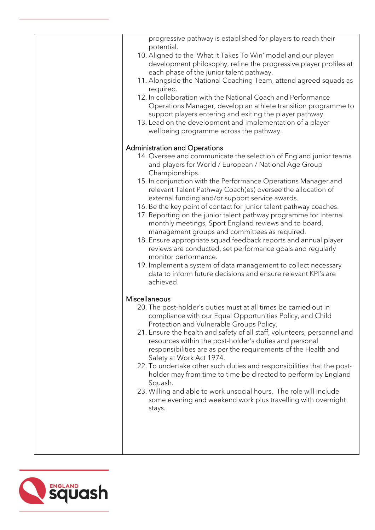| progressive pathway is established for players to reach their<br>potential.                                      |
|------------------------------------------------------------------------------------------------------------------|
| 10. Aligned to the 'What It Takes To Win' model and our player                                                   |
| development philosophy, refine the progressive player profiles at                                                |
| each phase of the junior talent pathway.                                                                         |
| 11. Alongside the National Coaching Team, attend agreed squads as                                                |
| required.                                                                                                        |
| 12. In collaboration with the National Coach and Performance                                                     |
| Operations Manager, develop an athlete transition programme to                                                   |
| support players entering and exiting the player pathway.                                                         |
| 13. Lead on the development and implementation of a player<br>wellbeing programme across the pathway.            |
|                                                                                                                  |
| <b>Administration and Operations</b>                                                                             |
| 14. Oversee and communicate the selection of England junior teams                                                |
| and players for World / European / National Age Group<br>Championships.                                          |
| 15. In conjunction with the Performance Operations Manager and                                                   |
| relevant Talent Pathway Coach(es) oversee the allocation of                                                      |
| external funding and/or support service awards.                                                                  |
| 16. Be the key point of contact for junior talent pathway coaches.                                               |
| 17. Reporting on the junior talent pathway programme for internal                                                |
| monthly meetings, Sport England reviews and to board,                                                            |
| management groups and committees as required.<br>18. Ensure appropriate squad feedback reports and annual player |
| reviews are conducted, set performance goals and regularly                                                       |
| monitor performance.                                                                                             |
| 19. Implement a system of data management to collect necessary                                                   |
| data to inform future decisions and ensure relevant KPI's are                                                    |
| achieved.                                                                                                        |
| Miscellaneous                                                                                                    |
| 20. The post-holder's duties must at all times be carried out in                                                 |
| compliance with our Equal Opportunities Policy, and Child                                                        |
| Protection and Vulnerable Groups Policy.                                                                         |
| 21. Ensure the health and safety of all staff, volunteers, personnel and                                         |
| resources within the post-holder's duties and personal                                                           |
| responsibilities are as per the requirements of the Health and                                                   |
| Safety at Work Act 1974.<br>22. To undertake other such duties and responsibilities that the post-               |
| holder may from time to time be directed to perform by England                                                   |
| Squash.                                                                                                          |
| 23. Willing and able to work unsocial hours. The role will include                                               |
| some evening and weekend work plus travelling with overnight                                                     |
| stays.                                                                                                           |
|                                                                                                                  |
|                                                                                                                  |
|                                                                                                                  |